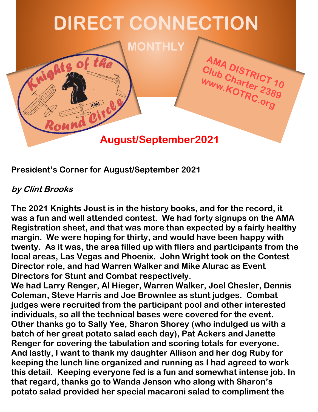

#### **President's Corner for August/September 2021**

#### **by Clint Brooks**

**The 2021 Knights Joust is in the history books, and for the record, it was a fun and well attended contest. We had forty signups on the AMA Registration sheet, and that was more than expected by a fairly healthy margin. We were hoping for thirty, and would have been happy with twenty. As it was, the area filled up with fliers and participants from the local areas, Las Vegas and Phoenix. John Wright took on the Contest Director role, and had Warren Walker and Mike Alurac as Event Directors for Stunt and Combat respectively.** 

**We had Larry Renger, Al Hieger, Warren Walker, Joel Chesler, Dennis Coleman, Steve Harris and Joe Brownlee as stunt judges. Combat judges were recruited from the participant pool and other interested individuals, so all the technical bases were covered for the event. Other thanks go to Sally Yee, Sharon Shorey (who indulged us with a batch of her great potato salad each day), Pat Ackers and Janette Renger for covering the tabulation and scoring totals for everyone. And lastly, I want to thank my daughter Allison and her dog Ruby for keeping the lunch line organized and running as I had agreed to work this detail. Keeping everyone fed is a fun and somewhat intense job. In that regard, thanks go to Wanda Jenson who along with Sharon's potato salad provided her special macaroni salad to compliment the**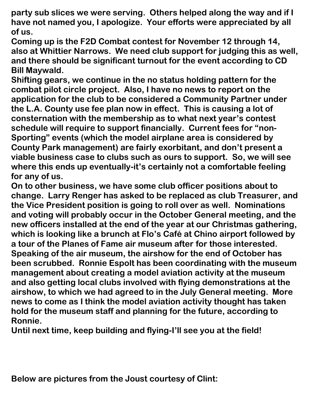**party sub slices we were serving. Others helped along the way and if I have not named you, I apologize. Your efforts were appreciated by all of us.**

**Coming up is the F2D Combat contest for November 12 through 14, also at Whittier Narrows. We need club support for judging this as well, and there should be significant turnout for the event according to CD Bill Maywald.** 

**Shifting gears, we continue in the no status holding pattern for the combat pilot circle project. Also, I have no news to report on the application for the club to be considered a Community Partner under the L.A. County use fee plan now in effect. This is causing a lot of consternation with the membership as to what next year's contest schedule will require to support financially. Current fees for "non-Sporting" events (which the model airplane area is considered by County Park management) are fairly exorbitant, and don't present a viable business case to clubs such as ours to support. So, we will see where this ends up eventually-it's certainly not a comfortable feeling for any of us.**

**On to other business, we have some club officer positions about to change. Larry Renger has asked to be replaced as club Treasurer, and the Vice President position is going to roll over as well. Nominations and voting will probably occur in the October General meeting, and the new officers installed at the end of the year at our Christmas gathering, which is looking like a brunch at Flo's Café at Chino airport followed by a tour of the Planes of Fame air museum after for those interested. Speaking of the air museum, the airshow for the end of October has been scrubbed. Ronnie Espolt has been coordinating with the museum management about creating a model aviation activity at the museum and also getting local clubs involved with flying demonstrations at the airshow, to which we had agreed to in the July General meeting. More news to come as I think the model aviation activity thought has taken hold for the museum staff and planning for the future, according to Ronnie.**

**Until next time, keep building and flying-I'll see you at the field!**

**Below are pictures from the Joust courtesy of Clint:**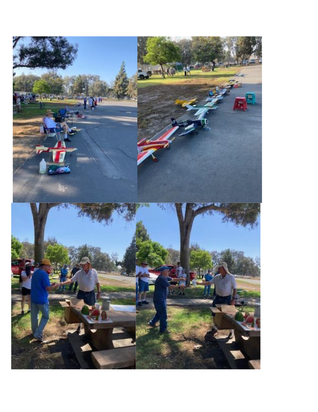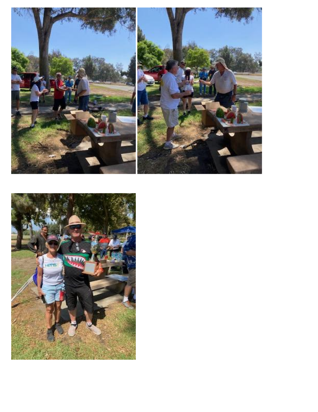

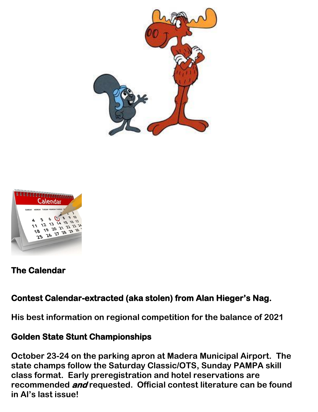



**The Calendar** 

# **Contest Calendar-extracted (aka stolen) from Alan Hieger's Nag.**

**His best information on regional competition for the balance of 2021**

#### **Golden State Stunt Championships**

**October 23-24 on the parking apron at Madera Municipal Airport. The state champs follow the Saturday Classic/OTS, Sunday PAMPA skill class format. Early preregistration and hotel reservations are recommended and requested. Official contest literature can be found in Al's last issue!**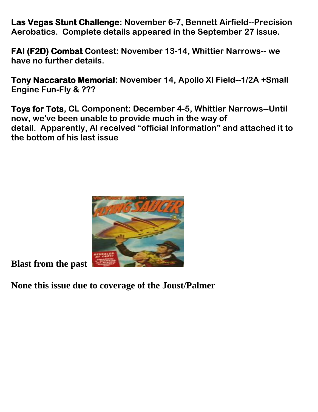**Las Vegas Stunt Challenge: November 6-7, Bennett Airfield--Precision Aerobatics. Complete details appeared in the September 27 issue.**

**FAI (F2D) Combat Contest: November 13-14, Whittier Narrows-- we have no further details.**

**Tony Naccarato Memorial: November 14, Apollo XI Field--1/2A +Small Engine Fun-Fly & ???**

**Toys for Tots, CL Component: December 4-5, Whittier Narrows--Until now, we've been unable to provide much in the way of detail. Apparently, Al received "official information" and attached it to the bottom of his last issue**



**Blast from the past** 

**None this issue due to coverage of the Joust/Palmer**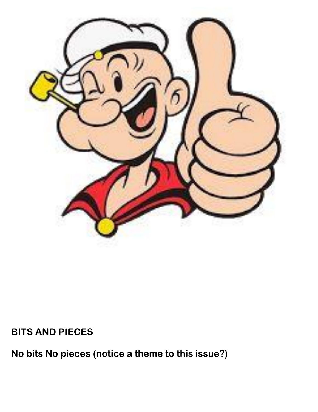

# **BITS AND PIECES**

**No bits No pieces (notice a theme to this issue?)**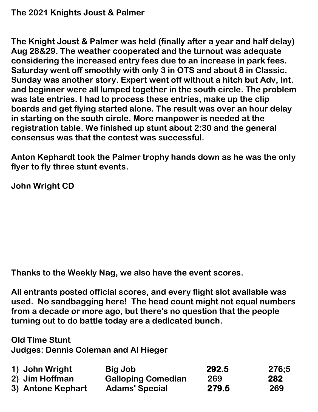#### **The 2021 Knights Joust & Palmer**

**The Knight Joust & Palmer was held (finally after a year and half delay) Aug 28&29. The weather cooperated and the turnout was adequate considering the increased entry fees due to an increase in park fees. Saturday went off smoothly with only 3 in OTS and about 8 in Classic. Sunday was another story. Expert went off without a hitch but Adv, Int. and beginner were all lumped together in the south circle. The problem was late entries. I had to process these entries, make up the clip boards and get flying started alone. The result was over an hour delay in starting on the south circle. More manpower is needed at the registration table. We finished up stunt about 2:30 and the general consensus was that the contest was successful.**

**Anton Kephardt took the Palmer trophy hands down as he was the only flyer to fly three stunt events.**

**John Wright CD**

**Thanks to the Weekly Nag, we also have the event scores.** 

**All entrants posted official scores, and every flight slot available was used. No sandbagging here! The head count might not equal numbers from a decade or more ago, but there's no question that the people turning out to do battle today are a dedicated bunch.**

**Old Time Stunt Judges: Dennis Coleman and Al Hieger**

| 1) John Wright    | <b>Big Job</b>            | 292.5 | 276;5 |
|-------------------|---------------------------|-------|-------|
| 2) Jim Hoffman    | <b>Galloping Comedian</b> | 269   | 282   |
| 3) Antone Kephart | <b>Adams' Special</b>     | 279.5 | 269   |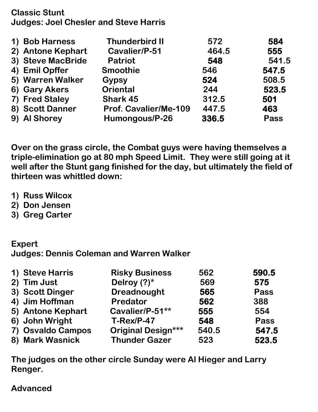#### **Classic Stunt Judges: Joel Chesler and Steve Harris**

| <b>Thunderbird II</b>                                                                                                                                                | 572   | 584         |
|----------------------------------------------------------------------------------------------------------------------------------------------------------------------|-------|-------------|
| Cavalier/P-51                                                                                                                                                        | 464.5 | 555         |
| <b>Patriot</b>                                                                                                                                                       | 548   | 541.5       |
| <b>Smoothie</b>                                                                                                                                                      | 546   | 547.5       |
| <b>Gypsy</b>                                                                                                                                                         | 524   | 508.5       |
| <b>Oriental</b>                                                                                                                                                      | 244   | 523.5       |
| <b>Shark 45</b>                                                                                                                                                      | 312.5 | 501         |
| Prof. Cavalier/Me-109                                                                                                                                                | 447.5 | 463         |
| Humongous/P-26                                                                                                                                                       | 336.5 | <b>Pass</b> |
| 1) Bob Harness<br>2) Antone Kephart<br>3) Steve MacBride<br>4) Emil Opffer<br>5) Warren Walker<br>6) Gary Akers<br>7) Fred Staley<br>8) Scott Danner<br>9) Al Shorey |       |             |

**Over on the grass circle, the Combat guys were having themselves a triple-elimination go at 80 mph Speed Limit. They were still going at it well after the Stunt gang finished for the day, but ultimately the field of thirteen was whittled down:**

- **1) Russ Wilcox**
- **2) Don Jensen**
- **3) Greg Carter**

#### **Expert**

**Judges: Dennis Coleman and Warren Walker**

| 1) Steve Harris   | <b>Risky Business</b>     | 562   | 590.5       |
|-------------------|---------------------------|-------|-------------|
| 2) Tim Just       | Delroy $(?)^*$            | 569   | 575         |
| 3) Scott Dinger   | <b>Dreadnought</b>        | 565   | <b>Pass</b> |
| 4) Jim Hoffman    | Predator                  | 562   | 388         |
| 5) Antone Kephart | Cavalier/P-51**           | 555   | 554         |
| 6) John Wright    | $T-Rex/P-47$              | 548   | <b>Pass</b> |
| 7) Osvaldo Campos | <b>Original Design***</b> | 540.5 | 547.5       |
| 8) Mark Wasnick   | <b>Thunder Gazer</b>      | 523   | 523.5       |

**The judges on the other circle Sunday were Al Hieger and Larry Renger.**

#### **Advanced**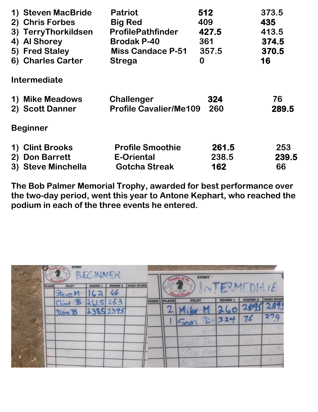| 1) Steven MacBride<br>2) Chris Forbes<br>3) TerryThorkildsen<br><b>Al Shorey</b><br>4) | <b>Patriot</b><br><b>Big Red</b><br><b>ProfilePathfinder</b><br><b>Brodak P-40</b> | 512<br>409<br>427.5<br>361 | 373.5<br>435<br>413.5<br>374.5 |
|----------------------------------------------------------------------------------------|------------------------------------------------------------------------------------|----------------------------|--------------------------------|
| 5) Fred Staley<br>6) Charles Carter                                                    | <b>Miss Candace P-51</b><br><b>Strega</b>                                          | 357.5<br>0                 | 370.5<br>16                    |
| <b>Intermediate</b>                                                                    |                                                                                    |                            |                                |
| <b>Mike Meadows</b><br>1)<br>2) Scott Danner                                           | <b>Challenger</b><br><b>Profile Cavalier/Me109</b>                                 | 324<br>260                 | 76<br>289.5                    |
| <b>Beginner</b>                                                                        |                                                                                    |                            |                                |
| <b>Clint Brooks</b><br>1)<br><b>Don Barrett</b><br>2)<br>3) Steve Minchella            | <b>Profile Smoothie</b><br><b>E-Oriental</b><br><b>Gotcha Streak</b>               | 261.5<br>238.5<br>162      | 253<br>239.5<br>66             |

**The Bob Palmer Memorial Trophy, awarded for best performance over the two-day period, went this year to Antone Kephart, who reached the podium in each of the three events he entered.**

|              | <b>EVENT</b>                        | BECININER     |                      |                   |      |              | <b>EVENT</b>   |              |                |                  |
|--------------|-------------------------------------|---------------|----------------------|-------------------|------|--------------|----------------|--------------|----------------|------------------|
| <b>PLACE</b> | <b>PILOT</b>                        | <b>ROUND1</b> | <b>ROUND 2</b><br>66 | <b>HIGH SCORE</b> |      |              |                | INTERMEDIALE |                |                  |
|              | Steve M<br>$Clint \mathbf{B}$ $253$ | 62            |                      |                   | CORE | <b>PLACE</b> | <b>PILOT</b>   | <b>ROUND</b> | <b>ROUND 2</b> | <b>HIGH SCOR</b> |
|              | <b>Don B</b>                        |               | 23852395             |                   |      |              |                | 2602095289   |                |                  |
|              |                                     |               |                      |                   |      |              | Seen 12-324 76 |              |                | 270              |
|              |                                     |               |                      |                   |      |              |                |              |                |                  |
|              |                                     |               |                      |                   |      |              |                |              |                |                  |
|              |                                     |               |                      |                   |      |              |                |              |                |                  |
|              |                                     |               |                      |                   |      |              |                |              |                |                  |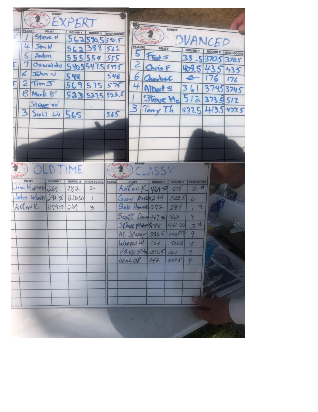| <b>EVENT</b><br>EXPERT<br>ORE<br><b>PLACE</b><br><b>PILOT</b><br><b>ROUND 2</b><br>Steve H<br>562590.5590.5<br>$J_{m}$ $H$<br>4<br>56238<br>Anton<br>5<br>555554<br>フ<br>Oswaldu<br>5405547.5547.5<br>6<br>John N<br>548<br>$\overline{2}$<br>TimJ<br>56951555<br>8 Move 16<br>523 523.5 523.5<br><b>Streve W.</b><br>$\mathsf{3}$<br>SCOTT DI | <b>HIGH SCORE</b><br>562<br>555<br>548<br>565 | PLACE<br><b>PILOT</b><br>$\overline{5}$<br>Freds<br>2<br>OrisF<br>6<br>Charlesc<br>4 Alberts<br>$\mathbf{S}$<br>Terry Th       | <b>EVENT</b><br>DVANCED<br><b>ROUND</b><br>361<br><b>Steve Me 512 3735 512</b>                   | 35.5370.5370.5<br>409.5435435<br>176 176<br>3745 3745<br>437.5 413.5 427.5 | <b>HIGH SCORE</b> |
|------------------------------------------------------------------------------------------------------------------------------------------------------------------------------------------------------------------------------------------------------------------------------------------------------------------------------------------------|-----------------------------------------------|--------------------------------------------------------------------------------------------------------------------------------|--------------------------------------------------------------------------------------------------|----------------------------------------------------------------------------|-------------------|
| 565<br>OLDTIME<br><b>PILOT</b><br><b>ROUND 1</b><br><b>ROUND 2</b><br><b>HIGH SCORE</b><br>Jim Hoffman 269<br>282<br>$\mathcal{Z}$<br>John Wheel 292.50 21650<br>ANTINK. 279.50 269<br>3                                                                                                                                                       | 3 06 th<br><b>PLACE</b>                       | C1ASST<br><b>PILOT</b><br>ArCovK.46450<br>$G$ ary Adde244 523.5<br>30b HARNES 572 584<br>Scott Down447.50 463<br>STEVE MONTS48 | <b>ROUND 2</b><br><b>HIGH SCOR</b><br>2x<br>555<br>6<br>$\overline{\mathcal{S}}$<br>3*<br>541.50 | $\frac{1}{\sqrt{2}}$                                                       |                   |
|                                                                                                                                                                                                                                                                                                                                                |                                               | Al SHOREY 336.5 ouatt?<br>$W$ ARREN $W$ 524<br>FRED 51Alo 312.5 501<br>EmelOP<br>546.                                          | 9<br>508.5<br>5<br>7<br>4<br>547.5                                                               |                                                                            |                   |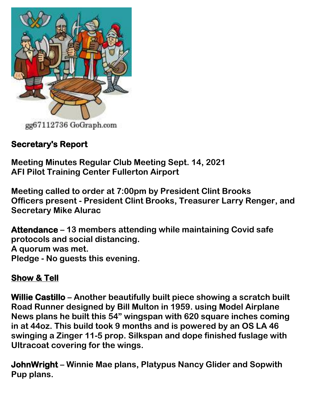

# **Secretary's Report**

**Meeting Minutes Regular Club Meeting Sept. 14, 2021 AFI Pilot Training Center Fullerton Airport**

**Meeting called to order at 7:00pm by President Clint Brooks Officers present - President Clint Brooks, Treasurer Larry Renger, and Secretary Mike Alurac**

**Attendance – 13 members attending while maintaining Covid safe protocols and social distancing. A quorum was met. Pledge - No guests this evening.**

# **Show & Tell**

**Willie Castillo – Another beautifully built piece showing a scratch built Road Runner designed by Bill Multon in 1959. using Model Airplane News plans he built this 54" wingspan with 620 square inches coming in at 44oz. This build took 9 months and is powered by an OS LA 46 swinging a Zinger 11-5 prop. Silkspan and dope finished fuslage with Ultracoat covering for the wings.** 

**JohnWright – Winnie Mae plans, Platypus Nancy Glider and Sopwith Pup plans.**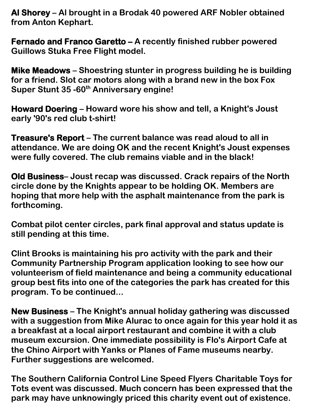**Al Shorey – Al brought in a Brodak 40 powered ARF Nobler obtained from Anton Kephart.** 

**Fernado and Franco Garetto – A recently finished rubber powered Guillows Stuka Free Flight model.**

**Mike Meadows – Shoestring stunter in progress building he is building for a friend. Slot car motors along with a brand new in the box Fox Super Stunt 35 -60th Anniversary engine!** 

**Howard Doering – Howard wore his show and tell, a Knight's Joust early '90's red club t-shirt!** 

**Treasure's Report – The current balance was read aloud to all in attendance. We are doing OK and the recent Knight's Joust expenses were fully covered. The club remains viable and in the black!** 

**Old Business– Joust recap was discussed. Crack repairs of the North circle done by the Knights appear to be holding OK. Members are hoping that more help with the asphalt maintenance from the park is forthcoming.** 

**Combat pilot center circles, park final approval and status update is still pending at this time.** 

**Clint Brooks is maintaining his pro activity with the park and their Community Partnership Program application looking to see how our volunteerism of field maintenance and being a community educational group best fits into one of the categories the park has created for this program. To be continued...**

**New Business – The Knight's annual holiday gathering was discussed with a suggestion from Mike Alurac to once again for this year hold it as a breakfast at a local airport restaurant and combine it with a club museum excursion. One immediate possibility is Flo's Airport Cafe at the Chino Airport with Yanks or Planes of Fame museums nearby. Further suggestions are welcomed.** 

**The Southern California Control Line Speed Flyers Charitable Toys for Tots event was discussed. Much concern has been expressed that the park may have unknowingly priced this charity event out of existence.**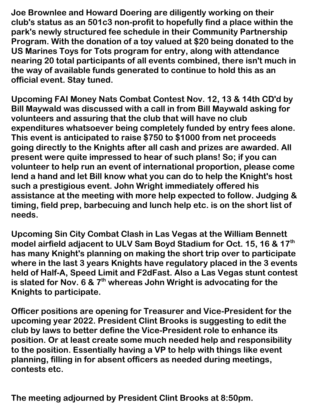**Joe Brownlee and Howard Doering are diligently working on their club's status as an 501c3 non-profit to hopefully find a place within the park's newly structured fee schedule in their Community Partnership Program. With the donation of a toy valued at \$20 being donated to the US Marines Toys for Tots program for entry, along with attendance nearing 20 total participants of all events combined, there isn't much in the way of available funds generated to continue to hold this as an official event. Stay tuned.** 

**Upcoming FAI Money Nats Combat Contest Nov. 12, 13 & 14th CD'd by Bill Maywald was discussed with a call in from Bill Maywald asking for volunteers and assuring that the club that will have no club expenditures whatsoever being completely funded by entry fees alone. This event is anticipated to raise \$750 to \$1000 from net proceeds going directly to the Knights after all cash and prizes are awarded. All present were quite impressed to hear of such plans! So; if you can volunteer to help run an event of international proportion, please come lend a hand and let Bill know what you can do to help the Knight's host such a prestigious event. John Wright immediately offered his assistance at the meeting with more help expected to follow. Judging & timing, field prep, barbecuing and lunch help etc. is on the short list of needs.**

**Upcoming Sin City Combat Clash in Las Vegas at the William Bennett model airfield adjacent to ULV Sam Boyd Stadium for Oct. 15, 16 & 17th has many Knight's planning on making the short trip over to participate where in the last 3 years Knights have regulatory placed in the 3 events held of Half-A, Speed Limit and F2dFast. Also a Las Vegas stunt contest is slated for Nov. 6 & 7th whereas John Wright is advocating for the Knights to participate.** 

**Officer positions are opening for Treasurer and Vice-President for the upcoming year 2022. President Clint Brooks is suggesting to edit the club by laws to better define the Vice-President role to enhance its position. Or at least create some much needed help and responsibility to the position. Essentially having a VP to help with things like event planning, filling in for absent officers as needed during meetings, contests etc.**

**The meeting adjourned by President Clint Brooks at 8:50pm.**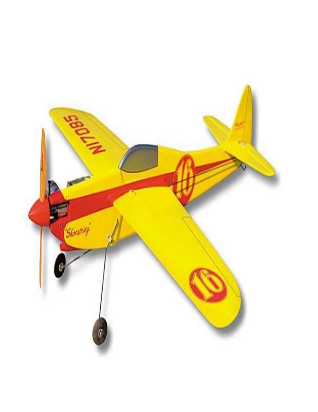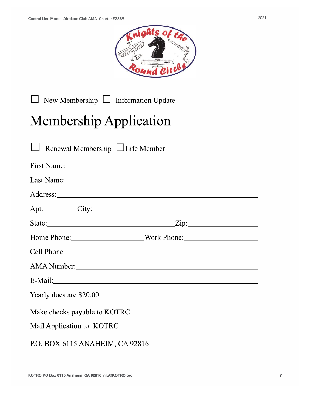

 $\Box$  New Membership  $\Box$  Information Update

# Membership Application

| Renewal Membership LLife Member                                                                                                                                                                                                |  |  |  |
|--------------------------------------------------------------------------------------------------------------------------------------------------------------------------------------------------------------------------------|--|--|--|
| First Name: 1988                                                                                                                                                                                                               |  |  |  |
| Last Name: 1988 and 1988 and 1988 and 1988 and 1988 and 1988 and 1988 and 1988 and 1988 and 1988 and 1988 and 1988 and 1988 and 1988 and 1988 and 1988 and 1988 and 1988 and 1988 and 1988 and 1988 and 1988 and 1988 and 1988 |  |  |  |
|                                                                                                                                                                                                                                |  |  |  |
|                                                                                                                                                                                                                                |  |  |  |
|                                                                                                                                                                                                                                |  |  |  |
| Home Phone: Mork Phone: Mork Phone:                                                                                                                                                                                            |  |  |  |
|                                                                                                                                                                                                                                |  |  |  |
|                                                                                                                                                                                                                                |  |  |  |
|                                                                                                                                                                                                                                |  |  |  |
| Yearly dues are \$20.00                                                                                                                                                                                                        |  |  |  |
| Make checks payable to KOTRC                                                                                                                                                                                                   |  |  |  |
| Mail Application to: KOTRC                                                                                                                                                                                                     |  |  |  |
| P.O. BOX 6115 ANAHEIM, CA 92816                                                                                                                                                                                                |  |  |  |